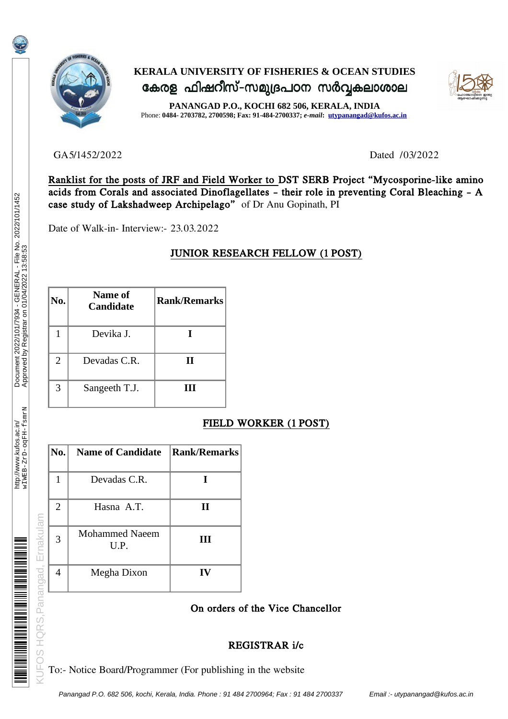

# **KERALA UNIVERSITY OF FISHERIES & OCEAN STUDIES** കേരള ഫിഷറീസ്-സമുദ്രപഠന സർവ്വകലാശാല



**PANANGAD P.O., KOCHI 682 506, KERALA, INDIA** Phone: **0484- 2703782, 2700598; Fax: 91-484-2700337;** *e-mail***: [utypanangad@kufos.ac.in](mailto:utypanangad@kufos.ac.in)**

GA5/1452/2022 Dated /03/2022

Ranklist for the posts of JRF and Field Worker to DST SERB Project "Mycosporine-like amino acids from Corals and associated Dinoflagellates – their role in preventing Coral Bleaching – A case study of Lakshadweep Archipelago" of Dr Anu Gopinath, PI

Date of Walk-in- Interview:- 23.03.2022

## JUNIOR RESEARCH FELLOW (1 POST)

| No. | Name of<br><b>Candidate</b> | <b>Rank/Remarks</b> |
|-----|-----------------------------|---------------------|
|     | Devika J.                   |                     |
| 2   | Devadas C.R.                | Н                   |
| 3   | Sangeeth T.J.               | Ш                   |

## FIELD WORKER (1 POST)

| No.                                                                                 | <b>Name of Candidate</b>      | <b>Rank/Remarks</b> |  |  |
|-------------------------------------------------------------------------------------|-------------------------------|---------------------|--|--|
| $\mathbf{1}$                                                                        | Devadas C.R.                  | I                   |  |  |
| 2                                                                                   | Hasna A.T.                    | $\mathbf{I}$        |  |  |
| 3                                                                                   | <b>Mohammed Naeem</b><br>U.P. | III                 |  |  |
| 4                                                                                   | Megha Dixon                   | IV                  |  |  |
|                                                                                     |                               | On orders o         |  |  |
|                                                                                     |                               | RE                  |  |  |
| <b>DS HQRS, Panangad, Ernakulam</b><br>To:- Notice Board/Programmer (For publishing |                               |                     |  |  |

### On orders of the Vice Chancellor

### REGISTRAR i/c

To:- Notice Board/Programmer (For publishing in the website

Ernakulam

**KUFOS HQRS.Panangad.** 

**MANA MANA MANA MANA MANA MANA MANA MAN**